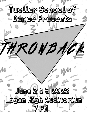# Tueller School of<br>- Dánes Presents -

HROVBACK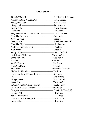#### **Order of Show**

| Geronimo — 4th Grade                       |  |
|--------------------------------------------|--|
|                                            |  |
|                                            |  |
|                                            |  |
|                                            |  |
|                                            |  |
| Nothings Gonna Stop Us - Freshies          |  |
|                                            |  |
| Wolly Bully <b>Montangler</b> Mon. 1st/2nd |  |
|                                            |  |
|                                            |  |
|                                            |  |
|                                            |  |
|                                            |  |
|                                            |  |
|                                            |  |
|                                            |  |
|                                            |  |
| Boogie Fever —————————————— Mon. 1st/2nd   |  |
|                                            |  |
|                                            |  |
|                                            |  |
|                                            |  |
|                                            |  |
|                                            |  |
| New York, Whats Happenin' — 4th Grade      |  |
| Impossible – Freshies                      |  |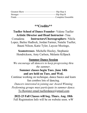| <b>Greatest Show</b> | Hip Hop A         |
|----------------------|-------------------|
| Stronger -           | -- Hip Hop B      |
| Finale               | Complete Ensemble |

## **\*\*Credits\*\***

### **Tueller School of Dance Founder-** Valene Tueller **Artistic Director and Head Instructor-** Tina Comadena **Instructors/Choreographers**- Nikila Lopez, Bailee Hadlock, Jordan Farmer, Natalie Tueller, Bauni Nilson, Katie Tyler, Laycee Mozingo,

**Seamstresses**- Michelle Hooley, Stephanie Hendrickson, Amy Carlsen, Melanie Killpack

#### **Summer Dance Session**

*We encourage all dancers to keep progressing thru the summer.* 

#### **Summer classes begin Tues. June 14th and are held on Tues. and Wed.**

Continue working on technique, dance basics and learn fun combos lots of dancing.

*Dancers interested in joining our Award Winning Performing groups must participate in summer dance.* To Register email tuellerdance@gmail.com

#### **2022-23 Fall Classes will beg. Thurs. Aug. 18th**  Fall Registration Info will be on website soon. wW